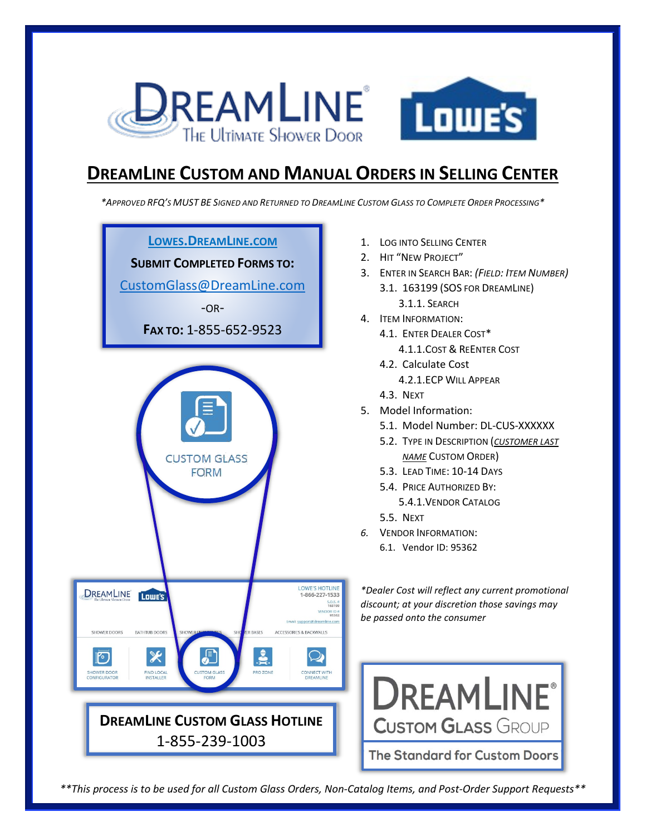

## **DREAMLINE CUSTOM AND MANUAL ORDERS IN SELLING CENTER**

*\*APPROVED RFQ'S MUST BE SIGNED AND RETURNED TO DREAMLINE CUSTOM GLASS TO COMPLETE ORDER PROCESSING\**



- 1. LOG INTO SELLING CENTER
- 2. HIT "NEW PROJECT"
- 3. ENTER IN SEARCH BAR: *(FIELD: ITEM NUMBER)* 3.1. 163199 (SOS FOR DREAMLINE) 3.1.1. SEARCH
- 4. ITEM INFORMATION:
	- 4.1. ENTER DEALER COST\*
		- 4.1.1.COST & REENTER COST
	- 4.2. Calculate Cost 4.2.1.ECP WILL APPEAR
	- 4.3. NEXT
- 5. Model Information:
	- 5.1. Model Number: DL-CUS-XXXXXX
	- 5.2. TYPE IN DESCRIPTION (*CUSTOMER LAST NAME* CUSTOM ORDER)
	- 5.3. LEAD TIME: 10-14 DAYS
	- 5.4. PRICE AUTHORIZED BY: 5.4.1.VENDOR CATALOG
	- 5.5. NEXT
- *6.* VENDOR INFORMATION: 6.1. Vendor ID: 95362

*\*Dealer Cost will reflect any current promotional discount; at your discretion those savings may be passed onto the consumer*



*\*\*This process is to be used for all Custom Glass Orders, Non-Catalog Items, and Post-Order Support Requests\*\**